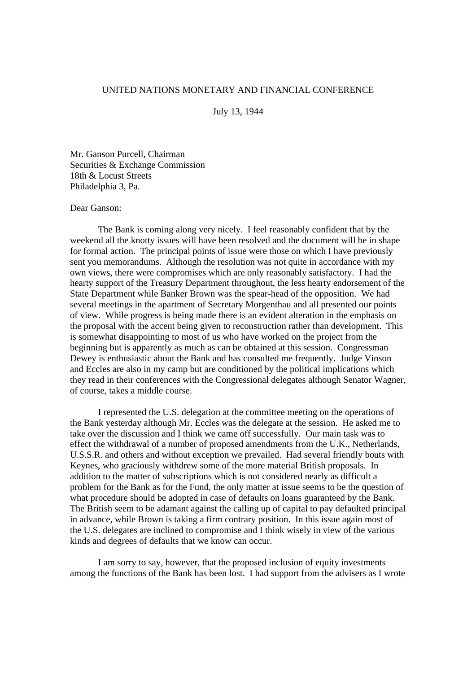## UNITED NATIONS MONETARY AND FINANCIAL CONFERENCE

July 13, 1944

Mr. Ganson Purcell, Chairman Securities & Exchange Commission 18th & Locust Streets Philadelphia 3, Pa.

## Dear Ganson:

The Bank is coming along very nicely. I feel reasonably confident that by the weekend all the knotty issues will have been resolved and the document will be in shape for formal action. The principal points of issue were those on which I have previously sent you memorandums. Although the resolution was not quite in accordance with my own views, there were compromises which are only reasonably satisfactory. I had the hearty support of the Treasury Department throughout, the less hearty endorsement of the State Department while Banker Brown was the spear-head of the opposition. We had several meetings in the apartment of Secretary Morgenthau and all presented our points of view. While progress is being made there is an evident alteration in the emphasis on the proposal with the accent being given to reconstruction rather than development. This is somewhat disappointing to most of us who have worked on the project from the beginning but is apparently as much as can be obtained at this session. Congressman Dewey is enthusiastic about the Bank and has consulted me frequently. Judge Vinson and Eccles are also in my camp but are conditioned by the political implications which they read in their conferences with the Congressional delegates although Senator Wagner, of course, takes a middle course.

I represented the U.S. delegation at the committee meeting on the operations of the Bank yesterday although Mr. Eccles was the delegate at the session. He asked me to take over the discussion and I think we came off successfully. Our main task was to effect the withdrawal of a number of proposed amendments from the U.K., Netherlands, U.S.S.R. and others and without exception we prevailed. Had several friendly bouts with Keynes, who graciously withdrew some of the more material British proposals. In addition to the matter of subscriptions which is not considered nearly as difficult a problem for the Bank as for the Fund, the only matter at issue seems to be the question of what procedure should be adopted in case of defaults on loans guaranteed by the Bank. The British seem to be adamant against the calling up of capital to pay defaulted principal in advance, while Brown is taking a firm contrary position. In this issue again most of the U.S. delegates are inclined to compromise and I think wisely in view of the various kinds and degrees of defaults that we know can occur.

I am sorry to say, however, that the proposed inclusion of equity investments among the functions of the Bank has been lost. I had support from the advisers as I wrote